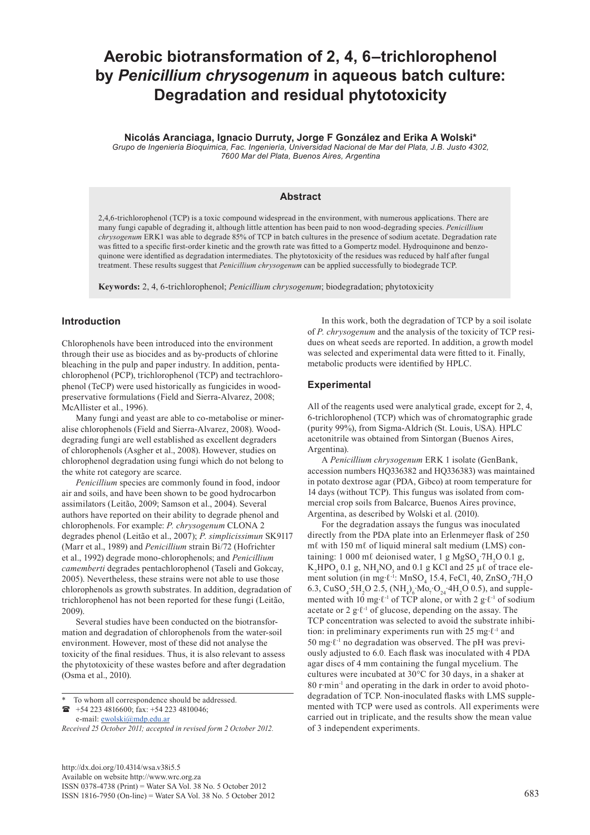# **Aerobic biotransformation of 2, 4, 6–trichlorophenol by** *Penicillium chrysogenum* **in aqueous batch culture: Degradation and residual phytotoxicity**

# **Nicolás Aranciaga, Ignacio Durruty, Jorge F González and Erika A Wolski\***

*Grupo de Ingeniería Bioquímica, Fac. Ingeniería, Universidad Nacional de Mar del Plata, J.B. Justo 4302, 7600 Mar del Plata, Buenos Aires, Argentina*

#### **Abstract**

2,4,6-trichlorophenol (TCP) is a toxic compound widespread in the environment, with numerous applications. There are many fungi capable of degrading it, although little attention has been paid to non wood-degrading species. *Penicillium chrysogenum* ERK1 was able to degrade 85% of TCP in batch cultures in the presence of sodium acetate. Degradation rate was fitted to a specific first-order kinetic and the growth rate was fitted to a Gompertz model. Hydroquinone and benzoquinone were identified as degradation intermediates. The phytotoxicity of the residues was reduced by half after fungal treatment. These results suggest that *Penicillium chrysogenum* can be applied successfully to biodegrade TCP.

**Keywords:** 2, 4, 6-trichlorophenol; *Penicillium chrysogenum*; biodegradation; phytotoxicity

# **Introduction**

Chlorophenols have been introduced into the environment through their use as biocides and as by-products of chlorine bleaching in the pulp and paper industry. In addition, pentachlorophenol (PCP), trichlorophenol (TCP) and tectrachlorophenol (TeCP) were used historically as fungicides in woodpreservative formulations (Field and Sierra-Alvarez, 2008; McAllister et al., 1996).

Many fungi and yeast are able to co-metabolise or mineralise chlorophenols (Field and Sierra-Alvarez, 2008). Wooddegrading fungi are well established as excellent degraders of chlorophenols (Asgher et al., 2008). However, studies on chlorophenol degradation using fungi which do not belong to the white rot category are scarce.

*Penicillium* species are commonly found in food, indoor air and soils, and have been shown to be good hydrocarbon assimilators (Leitão, 2009; Samson et al., 2004). Several authors have reported on their ability to degrade phenol and chlorophenols. For example: *P. chrysogenum* CLONA 2 degrades phenol (Leitão et al., 2007); *P. simplicissimun* SK9117 (Marr et al., 1989) and *Penicillium* strain Bi/72 (Hofrichter et al., 1992) degrade mono-chlorophenols; and *Penicillium camemberti* degrades pentachlorophenol (Taseli and Gokcay, 2005). Nevertheless, these strains were not able to use those chlorophenols as growth substrates. In addition, degradation of trichlorophenol has not been reported for these fungi (Leitão, 2009).

Several studies have been conducted on the biotransformation and degradation of chlorophenols from the water-soil environment. However, most of these did not analyse the toxicity of the final residues. Thus, it is also relevant to assess the phytotoxicity of these wastes before and after degradation (Osma et al., 2010).

 +54 223 4816600; fax: +54 223 4810046; e-mail: [ewolski@mdp.edu.ar](mailto:ewolski@mdp.edu.ar)

[http://dx.doi.org/10.4314/wsa.v38i5.5](http://dx.doi.org/10.4314/wsa.v37i4.18) Available on website http://www.wrc.org.za ISSN 0378-4738 (Print) = Water SA Vol. 38 No. 5 October 2012 ISSN 1816-7950 (On-line) = Water SA Vol. 38 No. 5 October 2012 683

In this work, both the degradation of TCP by a soil isolate of *P. chrysogenum* and the analysis of the toxicity of TCP residues on wheat seeds are reported. In addition, a growth model was selected and experimental data were fitted to it. Finally, metabolic products were identified by HPLC.

### **Experimental**

All of the reagents used were analytical grade, except for 2, 4, 6-trichlorophenol (TCP) which was of chromatographic grade (purity 99%), from Sigma-Aldrich (St. Louis, USA). HPLC acetonitrile was obtained from Sintorgan (Buenos Aires, Argentina).

A *Penicillium chrysogenum* ERK 1 isolate (GenBank, accession numbers HQ336382 and HQ336383) was maintained in potato dextrose agar (PDA, Gibco) at room temperature for 14 days (without TCP). This fungus was isolated from commercial crop soils from Balcarce, Buenos Aires province, Argentina, as described by Wolski et al. (2010).

For the degradation assays the fungus was inoculated directly from the PDA plate into an Erlenmeyer flask of 250 mℓ with 150 mℓ of liquid mineral salt medium (LMS) containing: 1 000 ml deionised water, 1 g  $MgSO_4$  7H<sub>2</sub>O 0.1 g,  $K_2$ HPO<sub>4</sub> 0.1 g, NH<sub>4</sub>NO<sub>3</sub> and 0.1 g KCl and 25 µl of trace element solution (in mg⋅ $\ell$ <sup>-1</sup>: MnSO<sub>4</sub> 15.4, FeCl<sub>3</sub> 40, ZnSO<sub>4</sub>⋅7H<sub>2</sub>O 6.3, CuSO<sub>4</sub>⋅5H<sub>2</sub>O 2.5, (NH<sub>4</sub>)<sub>6</sub>⋅Mo<sub>7</sub>⋅O<sub>24</sub>⋅4H<sub>2</sub>O 0.5), and supplemented with 10 mg∙ℓ-1 of TCP alone, or with 2 g∙ℓ-1 of sodium acetate or 2 g∙ℓ-1 of glucose, depending on the assay. The TCP concentration was selected to avoid the substrate inhibition: in preliminary experiments run with 25 mg∙ℓ-1 and 50 mg∙ℓ-1 no degradation was observed. The pH was previously adjusted to 6.0. Each flask was inoculated with 4 PDA agar discs of 4 mm containing the fungal mycelium. The cultures were incubated at 30°C for 30 days, in a shaker at 80 r∙min-1 and operating in the dark in order to avoid photodegradation of TCP. Non-inoculated flasks with LMS supplemented with TCP were used as controls. All experiments were carried out in triplicate, and the results show the mean value of 3 independent experiments.

To whom all correspondence should be addressed.

*Received 25 October 2011; accepted in revised form 2 October 2012.*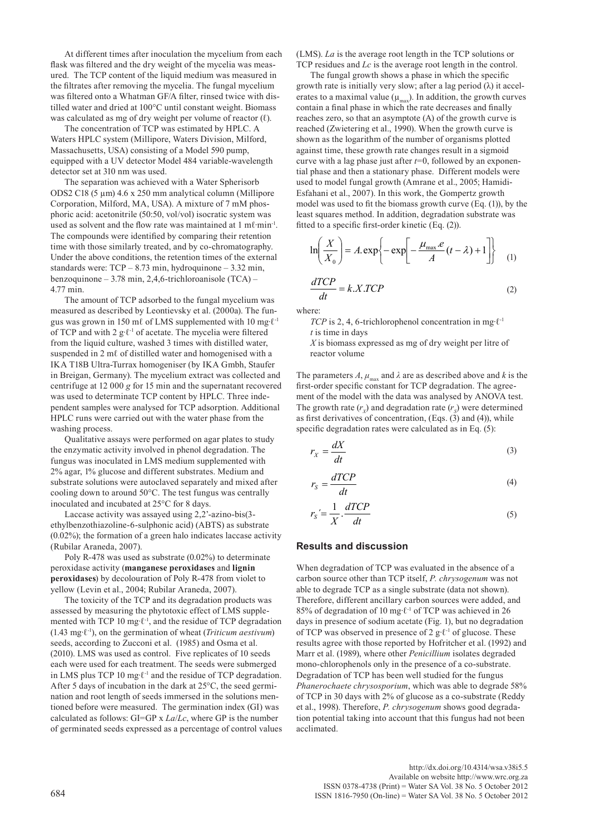At different times after inoculation the mycelium from each flask was filtered and the dry weight of the mycelia was measured. The TCP content of the liquid medium was measured in the filtrates after removing the mycelia. The fungal mycelium was filtered onto a Whatman GF/A filter, rinsed twice with distilled water and dried at 100°C until constant weight. Biomass was calculated as mg of dry weight per volume of reactor  $(\ell)$ .

The concentration of TCP was estimated by HPLC. A Waters HPLC system (Millipore, Waters Division, Milford, Massachusetts, USA) consisting of a Model 590 pump, equipped with a UV detector Model 484 variable-wavelength detector set at 310 nm was used.

The separation was achieved with a Water Spherisorb ODS2 C18 (5 µm) 4.6 x 250 mm analytical column (Millipore Corporation, Milford, MA, USA). A mixture of 7 mM phosphoric acid: acetonitrile (50:50, vol/vol) isocratic system was used as solvent and the flow rate was maintained at 1 mℓ∙min-1. The compounds were identified by comparing their retention time with those similarly treated, and by co-chromatography. Under the above conditions, the retention times of the external standards were:  $TCP - 8.73 \text{ min}$ , hydroquinone  $-3.32 \text{ min}$ , benzoquinone – 3.78 min, 2,4,6-trichloroanisole (TCA) – 4.77 min.

The amount of TCP adsorbed to the fungal mycelium was measured as described by Leontievsky et al. (2000a). The fungus was grown in 150 mℓ of LMS supplemented with 10 mg∙ℓ-1 of TCP and with 2 g∙ℓ-1 of acetate. The mycelia were filtered from the liquid culture, washed 3 times with distilled water, suspended in 2 m $\ell$  of distilled water and homogenised with a IKA T18B Ultra-Turrax homogeniser (by IKA Gmbh, Staufer in Breigan, Germany). The mycelium extract was collected and centrifuge at 12 000 *g* for 15 min and the supernatant recovered was used to determinate TCP content by HPLC. Three independent samples were analysed for TCP adsorption. Additional HPLC runs were carried out with the water phase from the washing process.

Qualitative assays were performed on agar plates to study the enzymatic activity involved in phenol degradation. The fungus was inoculated in LMS medium supplemented with 2% agar, 1% glucose and different substrates. Medium and substrate solutions were autoclaved separately and mixed after cooling down to around 50°C. The test fungus was centrally inoculated and incubated at 25°C for 8 days.

Laccase activity was assayed using 2,2'-azino-bis(3 ethylbenzothiazoline-6-sulphonic acid) (ABTS) as substrate (0.02%); the formation of a green halo indicates laccase activity (Rubilar Araneda, 2007).

Poly R-478 was used as substrate (0.02%) to determinate peroxidase activity (**manganese peroxidases** and **lignin peroxidases**) by decolouration of Poly R-478 from violet to yellow (Levin et al., 2004; Rubilar Araneda, 2007).

The toxicity of the TCP and its degradation products was assessed by measuring the phytotoxic effect of LMS supplemented with TCP 10 mg∙ℓ-1, and the residue of TCP degradation (1.43 mg∙ℓ-1), on the germination of wheat (*Triticum aestivum*) seeds, according to Zucconi et al. (1985) and Osma et al. (2010). LMS was used as control. Five replicates of 10 seeds each were used for each treatment. The seeds were submerged in LMS plus TCP 10 mg∙ℓ-1 and the residue of TCP degradation. After 5 days of incubation in the dark at 25°C, the seed germination and root length of seeds immersed in the solutions mentioned before were measured. The germination index (GI) was calculated as follows: GI=GP x *La*/*Lc*, where GP is the number of germinated seeds expressed as a percentage of control values (LMS). *La* is the average root length in the TCP solutions or TCP residues and *Lc* is the average root length in the control.

The fungal growth shows a phase in which the specific growth rate is initially very slow; after a lag period  $(\lambda)$  it accelerates to a maximal value  $(\mu_{\text{max}})$ . In addition, the growth curves contain a final phase in which the rate decreases and finally reaches zero, so that an asymptote (A) of the growth curve is reached (Zwietering et al., 1990). When the growth curve is shown as the logarithm of the number of organisms plotted against time, these growth rate changes result in a sigmoid curve with a lag phase just after *t*=0, followed by an exponential phase and then a stationary phase. Different models were used to model fungal growth (Amrane et al., 2005; Hamidi-Esfahani et al., 2007). In this work, the Gompertz growth model was used to fit the biomass growth curve (Eq. (1)), by the least squares method. In addition, degradation substrate was fitted to a specific first-order kinetic (Eq. (2)).

$$
\ln\left(\frac{X}{X_0}\right) = A.\exp\left\{-\exp\left[-\frac{\mu_{\text{max}}.e}{A}(t-\lambda) + 1\right]\right\}
$$
(1)  

$$
\frac{dTCP}{dt} = k.X.TCP
$$
(2)

where:

*TCP* is 2, 4, 6-trichlorophenol concentration in mg⋅ℓ<sup>-1</sup> *t* is time in days

*X* is biomass expressed as mg of dry weight per litre of reactor volume

The parameters  $A$ ,  $\mu_{\text{max}}$  and  $\lambda$  are as described above and  $k$  is the first-order specific constant for TCP degradation. The agreement of the model with the data was analysed by ANOVA test. The growth rate  $(r<sub>x</sub>)$  and degradation rate  $(r<sub>s</sub>)$  were determined as first derivatives of concentration, (Eqs.  $(3)$  and (4)), while specific degradation rates were calculated as in Eq. (5):

$$
r_X = \frac{dX}{dt} \tag{3}
$$

$$
r_S = \frac{dTCP}{dt} \tag{4}
$$

$$
r_{S} = \frac{1}{X} \cdot \frac{dTCP}{dt} \tag{5}
$$

# **Results and discussion**

When degradation of TCP was evaluated in the absence of a carbon source other than TCP itself, *P. chrysogenum* was not able to degrade TCP as a single substrate (data not shown). Therefore, different ancillary carbon sources were added, and 85% of degradation of 10 mg∙ℓ-1 of TCP was achieved in 26 days in presence of sodium acetate (Fig. 1), but no degradation of TCP was observed in presence of 2 g∙ℓ-1 of glucose. These results agree with those reported by Hofritcher et al. (1992) and Marr et al. (1989), where other *Penicillium* isolates degraded mono-chlorophenols only in the presence of a co-substrate. Degradation of TCP has been well studied for the fungus *Phanerochaete chrysosporium*, which was able to degrade 58% of TCP in 30 days with 2% of glucose as a co-substrate (Reddy et al., 1998). Therefore, *P. chrysogenum* shows good degradation potential taking into account that this fungus had not been acclimated.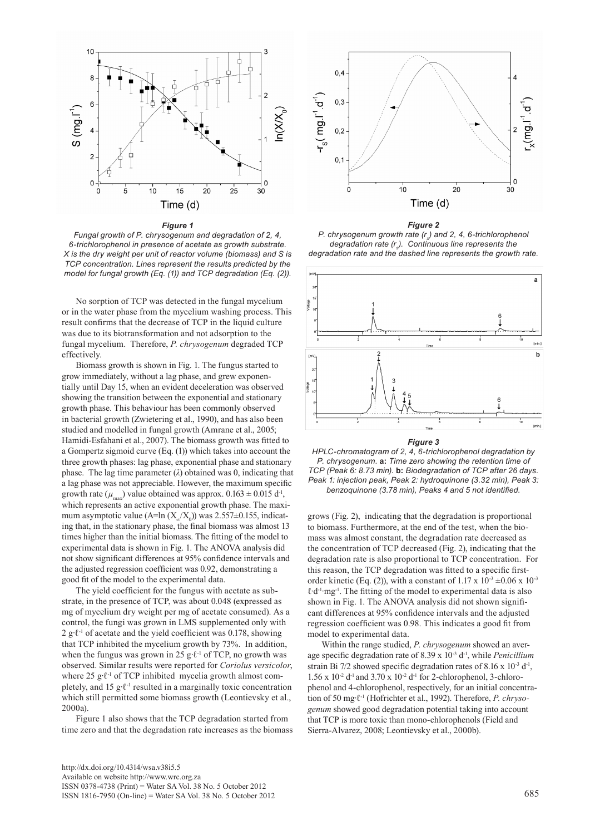

#### *Figure 1*

*Fungal growth of P. chrysogenum and degradation of 2, 4, 6-trichlorophenol in presence of acetate as growth substrate. X is the dry weight per unit of reactor volume (biomass) and S is TCP concentration. Lines represent the results predicted by the model for fungal growth (Eq. (1)) and TCP degradation (Eq. (2)).*

No sorption of TCP was detected in the fungal mycelium or in the water phase from the mycelium washing process. This result confirms that the decrease of TCP in the liquid culture was due to its biotransformation and not adsorption to the fungal mycelium. Therefore, *P. chrysogenum* degraded TCP effectively.

Biomass growth is shown in Fig. 1. The fungus started to grow immediately, without a lag phase, and grew exponentially until Day 15, when an evident deceleration was observed showing the transition between the exponential and stationary growth phase. This behaviour has been commonly observed in bacterial growth (Zwietering et al., 1990), and has also been studied and modelled in fungal growth (Amrane et al., 2005; Hamidi-Esfahani et al., 2007). The biomass growth was fitted to a Gompertz sigmoid curve (Eq. (1)) which takes into account the three growth phases: lag phase, exponential phase and stationary phase. The lag time parameter  $(\lambda)$  obtained was 0, indicating that a lag phase was not appreciable. However, the maximum specific growth rate  $(\mu_{\text{max}})$  value obtained was approx.  $0.163 \pm 0.015$  d<sup>-1</sup>, which represents an active exponential growth phase. The maximum asymptotic value (A=ln  $(X_\alpha/X_0)$ ) was 2.557±0.155, indicating that, in the stationary phase, the final biomass was almost 13 times higher than the initial biomass. The fitting of the model to experimental data is shown in Fig. 1. The ANOVA analysis did not show significant differences at 95% confidence intervals and the adjusted regression coefficient was 0.92, demonstrating a good fit of the model to the experimental data.

The yield coefficient for the fungus with acetate as substrate, in the presence of TCP, was about 0.048 (expressed as mg of mycelium dry weight per mg of acetate consumed). As a control, the fungi was grown in LMS supplemented only with 2 g⋅ℓ<sup>-1</sup> of acetate and the yield coefficient was 0.178, showing that TCP inhibited the mycelium growth by 73%. In addition, when the fungus was grown in 25 g⋅ℓ<sup>-1</sup> of TCP, no growth was observed. Similar results were reported for *Coriolus versicolor*, where 25 g⋅ℓ<sup>-1</sup> of TCP inhibited mycelia growth almost completely, and 15 g⋅ℓ<sup>-1</sup> resulted in a marginally toxic concentration which still permitted some biomass growth (Leontievsky et al., 2000a).

Figure 1 also shows that the TCP degradation started from time zero and that the degradation rate increases as the biomass



*Figure 2 P. chrysogenum growth rate (r<sub>x</sub>) and 2, 4, 6-trichlorophenol* degradation rate (r<sub>s</sub>). Continuous line represents the *degradation rate and the dashed line represents the growth rate.*



*Figure 3*

*HPLC-chromatogram of 2, 4, 6-trichlorophenol degradation by P. chrysogenum.* **a:** *Time zero showing the retention time of TCP (Peak 6: 8.73 min).* **b:** *Biodegradation of TCP after 26 days. Peak 1: injection peak, Peak 2: hydroquinone (3.32 min), Peak 3: benzoquinone (3.78 min), Peaks 4 and 5 not identified.* 

grows (Fig. 2), indicating that the degradation is proportional to biomass. Furthermore, at the end of the test, when the biomass was almost constant, the degradation rate decreased as the concentration of TCP decreased (Fig. 2), indicating that the degradation rate is also proportional to TCP concentration. For this reason, the TCP degradation was fitted to a specific firstorder kinetic (Eq. (2)), with a constant of 1.17 x  $10^{-3} \pm 0.06$  x  $10^{-3}$ ℓ∙d-1∙mg-1. The fitting of the model to experimental data is also shown in Fig. 1. The ANOVA analysis did not shown significant differences at 95% confidence intervals and the adjusted regression coefficient was 0.98. This indicates a good fit from model to experimental data.

Within the range studied, *P. chrysogenum* showed an average specific degradation rate of 8.39 x 10-3 d-1, while *Penicillium*  strain Bi 7/2 showed specific degradation rates of 8.16 x 10<sup>-3</sup> d<sup>-1</sup>,  $1.56 \times 10^{-2}$  d<sup>-1</sup> and  $3.70 \times 10^{-2}$  d<sup>-1</sup> for 2-chlorophenol, 3-chlorophenol and 4-chlorophenol, respectively, for an initial concentration of 50 mg∙ℓ-1 (Hofrichter et al., 1992). Therefore, *P. chrysogenum* showed good degradation potential taking into account that TCP is more toxic than mono-chlorophenols (Field and Sierra-Alvarez, 2008; Leontievsky et al., 2000b).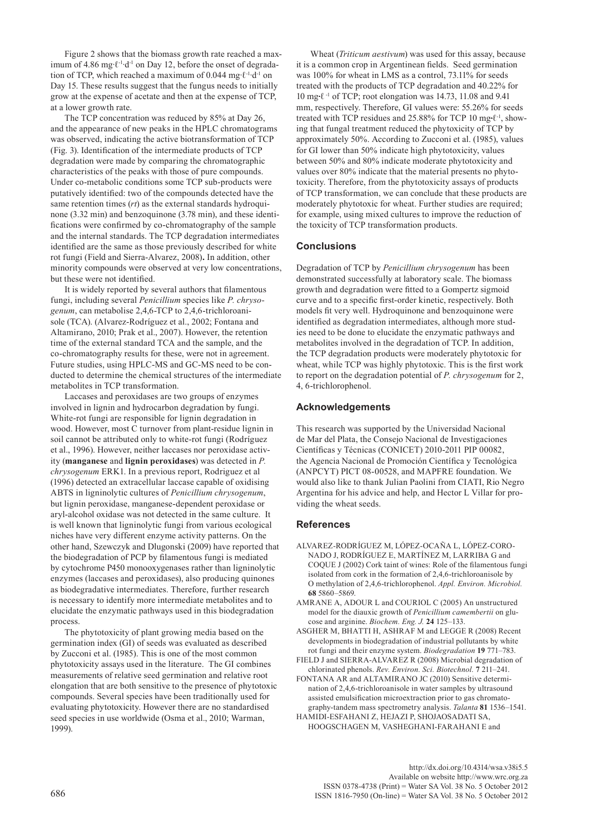Figure 2 shows that the biomass growth rate reached a maximum of 4.86 mg∙ℓ-1∙d-1 on Day 12, before the onset of degradation of TCP, which reached a maximum of 0.044 mg∙ℓ-1∙d-1 on Day 15. These results suggest that the fungus needs to initially grow at the expense of acetate and then at the expense of TCP, at a lower growth rate.

The TCP concentration was reduced by 85% at Day 26, and the appearance of new peaks in the HPLC chromatograms was observed, indicating the active biotransformation of TCP (Fig. 3). Identification of the intermediate products of TCP degradation were made by comparing the chromatographic characteristics of the peaks with those of pure compounds. Under co-metabolic conditions some TCP sub-products were putatively identified: two of the compounds detected have the same retention times (*rt*) as the external standards hydroquinone (3.32 min) and benzoquinone (3.78 min), and these identifications were confirmed by co-chromatography of the sample and the internal standards. The TCP degradation intermediates identified are the same as those previously described for white rot fungi (Field and Sierra-Alvarez, 2008)**.** In addition, other minority compounds were observed at very low concentrations, but these were not identified.

It is widely reported by several authors that filamentous fungi, including several *Penicillium* species like *P. chrysogenum*, can metabolise 2,4,6-TCP to 2,4,6-trichloroanisole (TCA). (Alvarez-Rodríguez et al., 2002; Fontana and Altamirano, 2010; Prak et al., 2007). However, the retention time of the external standard TCA and the sample, and the co-chromatography results for these, were not in agreement. Future studies, using HPLC-MS and GC-MS need to be conducted to determine the chemical structures of the intermediate metabolites in TCP transformation.

Laccases and peroxidases are two groups of enzymes involved in lignin and hydrocarbon degradation by fungi. White-rot fungi are responsible for lignin degradation in wood. However, most C turnover from plant-residue lignin in soil cannot be attributed only to white-rot fungi (Rodríguez et al., 1996). However, neither laccases nor peroxidase activity (**manganese** and **lignin peroxidases**) was detected in *P. chrysogenum* ERK1. In a previous report, Rodriguez et al (1996) detected an extracellular laccase capable of oxidising ABTS in ligninolytic cultures of *Penicillium chrysogenum*, but lignin peroxidase, manganese-dependent peroxidase or aryl-alcohol oxidase was not detected in the same culture. It is well known that ligninolytic fungi from various ecological niches have very different enzyme activity patterns. On the other hand, Szewczyk and Dlugonski (2009) have reported that the biodegradation of PCP by filamentous fungi is mediated by cytochrome P450 monooxygenases rather than ligninolytic enzymes (laccases and peroxidases), also producing quinones as biodegradative intermediates. Therefore, further research is necessary to identify more intermediate metabolites and to elucidate the enzymatic pathways used in this biodegradation process.

The phytotoxicity of plant growing media based on the germination index (GI) of seeds was evaluated as described by Zucconi et al. (1985). This is one of the most common phytotoxicity assays used in the literature. The GI combines measurements of relative seed germination and relative root elongation that are both sensitive to the presence of phytotoxic compounds. Several species have been traditionally used for evaluating phytotoxicity. However there are no standardised seed species in use worldwide (Osma et al., 2010; Warman, 1999).

Wheat (*Triticum aestivum*) was used for this assay, because it is a common crop in Argentinean fields. Seed germination was 100% for wheat in LMS as a control, 73.11% for seeds treated with the products of TCP degradation and 40.22% for 10 mg∙ℓ -1 of TCP; root elongation was 14.73, 11.08 and 9.41 mm, respectively. Therefore, GI values were: 55.26% for seeds treated with TCP residues and 25.88% for TCP 10 mg∙ℓ-1, showing that fungal treatment reduced the phytoxicity of TCP by approximately 50%. According to Zucconi et al. (1985), values for GI lower than 50% indicate high phytotoxicity, values between 50% and 80% indicate moderate phytotoxicity and values over 80% indicate that the material presents no phytotoxicity. Therefore, from the phytotoxicity assays of products of TCP transformation, we can conclude that these products are moderately phytotoxic for wheat. Further studies are required; for example, using mixed cultures to improve the reduction of the toxicity of TCP transformation products.

# **Conclusions**

Degradation of TCP by *Penicillium chrysogenum* has been demonstrated successfully at laboratory scale. The biomass growth and degradation were fitted to a Gompertz sigmoid curve and to a specific first-order kinetic, respectively. Both models fit very well. Hydroquinone and benzoquinone were identified as degradation intermediates, although more studies need to be done to elucidate the enzymatic pathways and metabolites involved in the degradation of TCP. In addition, the TCP degradation products were moderately phytotoxic for wheat, while TCP was highly phytotoxic. This is the first work to report on the degradation potential of *P. chrysogenum* for 2, 4, 6-trichlorophenol.

#### **Acknowledgements**

This research was supported by the Universidad Nacional de Mar del Plata, the Consejo Nacional de Investigaciones Científicas y Técnicas (CONICET) 2010-2011 PIP 00082, the Agencia Nacional de Promoción Científica y Tecnológica (ANPCYT) PICT 08-00528, and MAPFRE foundation. We would also like to thank Julian Paolini from CIATI, Rio Negro Argentina for his advice and help, and Hector L Villar for providing the wheat seeds.

### **References**

- ALVAREZ-RODRÍGUEZ M, LÓPEZ-OCAÑA L, LÓPEZ-CORO-NADO J, RODRÍGUEZ E, MARTÍNEZ M, LARRIBA G and COQUE J (2002) Cork taint of wines: Role of the filamentous fungi isolated from cork in the formation of 2,4,6-trichloroanisole by O methylation of 2,4,6-trichlorophenol. *Appl. Environ. Microbiol.* **68** 5860–5869.
- AMRANE A, ADOUR L and COURIOL C (2005) An unstructured model for the diauxic growth of *Penicillium camembertii* on glucose and arginine. *Biochem. Eng. J.* **24** 125–133.
- ASGHER M, BHATTI H, ASHRAF M and LEGGE R (2008) Recent developments in biodegradation of industrial pollutants by white rot fungi and their enzyme system. *Biodegradation* **19** 771–783.
- FIELD J and SIERRA-ALVAREZ R (2008) Microbial degradation of chlorinated phenols. *Rev. Environ. Sci. Biotechnol.* **7** 211–241.
- FONTANA AR and ALTAMIRANO JC (2010) Sensitive determination of 2,4,6-trichloroanisole in water samples by ultrasound assisted emulsification microextraction prior to gas chromatography-tandem mass spectrometry analysis. *Talanta* **81** 1536–1541. HAMIDI-ESFAHANI Z, HEJAZI P, SHOJAOSADATI SA,
- HOOGSCHAGEN M, VASHEGHANI-FARAHANI E and

[http://dx.doi.org/10.4314/wsa.v38i5.5](http://dx.doi.org/10.4314/wsa.v37i4.18) Available on website http://www.wrc.org.za ISSN 0378-4738 (Print) = Water SA Vol. 38 No. 5 October 2012 686 ISSN 1816-7950 (On-line) = Water SA Vol. 38 No. 5 October 2012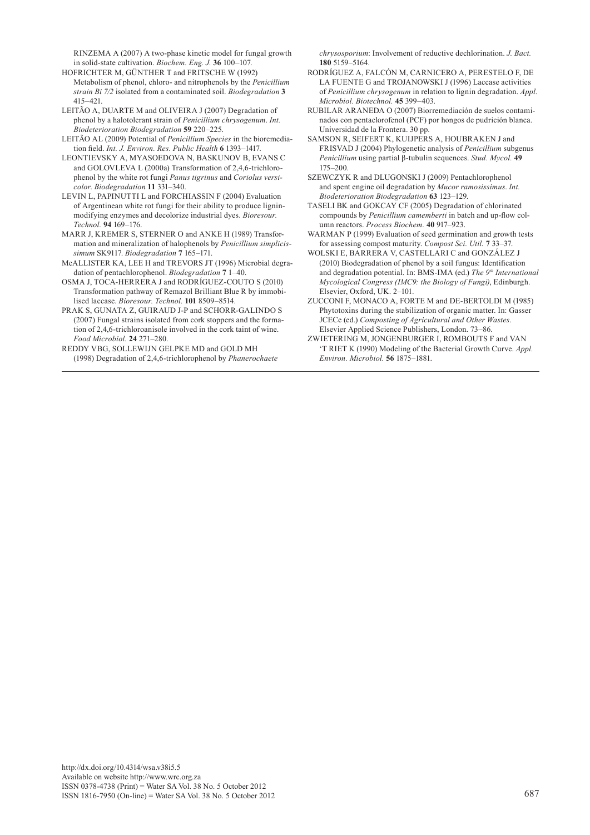RINZEMA A (2007) A two-phase kinetic model for fungal growth in solid-state cultivation. *Biochem. Eng. J.* **36** 100–107.

- HOFRICHTER M, GÜNTHER T and FRITSCHE W (1992) Metabolism of phenol, chloro- and nitrophenols by the *Penicillium strain Bi 7/2* isolated from a contaminated soil. *Biodegradation* **3** 415–421.
- LEITÃO A, DUARTE M and OLIVEIRA J (2007) Degradation of phenol by a halotolerant strain of *Penicillium chrysogenum*. *Int. Biodeterioration Biodegradation* **59** 220–225.
- LEITÃO AL (2009) Potential of *Penicillium Species* in the bioremediation field. *Int. J. Environ. Res. Public Health* **6** 1393–1417.
- LEONTIEVSKY A, MYASOEDOVA N, BASKUNOV B, EVANS C and GOLOVLEVA L (2000a) Transformation of 2,4,6-trichlorophenol by the white rot fungi *Panus tigrinus* and *Coriolus versicolor*. *Biodegradation* **11** 331–340.
- LEVIN L, PAPINUTTI L and FORCHIASSIN F (2004) Evaluation of Argentinean white rot fungi for their ability to produce ligninmodifying enzymes and decolorize industrial dyes. *Bioresour. Technol.* **94** 169–176.
- MARR J, KREMER S, STERNER O and ANKE H (1989) Transformation and mineralization of halophenols by *Penicillium simplicissimum* SK9117. *Biodegradation* **7** 165–171.
- McALLISTER KA, LEE H and TREVORS JT (1996) Microbial degradation of pentachlorophenol. *Biodegradation* **7** 1–40.
- OSMA J, TOCA-HERRERA J and RODRÍGUEZ-COUTO S (2010) Transformation pathway of Remazol Brilliant Blue R by immobilised laccase. *Bioresour. Technol.* **101** 8509–8514.
- PRAK S, GUNATA Z, GUIRAUD J-P and SCHORR-GALINDO S (2007) Fungal strains isolated from cork stoppers and the formation of 2,4,6-trichloroanisole involved in the cork taint of wine. *Food Microbiol.* **24** 271–280.
- REDDY VBG, SOLLEWIJN GELPKE MD and GOLD MH (1998) Degradation of 2,4,6-trichlorophenol by *Phanerochaete*

*chrysosporium*: Involvement of reductive dechlorination. *J. Bact.* **180** 5159–5164.

- RODRÍGUEZ A, FALCÓN M, CARNICERO A, PERESTELO F, DE LA FUENTE G and TROJANOWSKI J (1996) Laccase activities of *Penicillium chrysogenum* in relation to lignin degradation. *Appl. Microbiol. Biotechnol.* **45** 399–403.
- RUBILAR ARANEDA O (2007) Biorremediación de suelos contaminados con pentaclorofenol (PCF) por hongos de pudrición blanca. Universidad de la Frontera. 30 pp.
- SAMSON R, SEIFERT K, KUIJPERS A, HOUBRAKEN J and FRISVAD J (2004) Phylogenetic analysis of *Penicillium* subgenus *Penicillium* using partial β-tubulin sequences. *Stud. Mycol.* **49** 175–200.
- SZEWCZYK R and DLUGONSKI J (2009) Pentachlorophenol and spent engine oil degradation by *Mucor ramosissimus*. *Int. Biodeterioration Biodegradation* **63** 123–129.
- TASELI BK and GOKCAY CF (2005) Degradation of chlorinated compounds by *Penicillium camemberti* in batch and up-flow column reactors. *Process Biochem.* **40** 917–923.
- WARMAN P (1999) Evaluation of seed germination and growth tests for assessing compost maturity. *Compost Sci. Util.* **7** 33–37.
- WOLSKI E, BARRERA V, CASTELLARI C and GONZÁLEZ J (2010) Biodegradation of phenol by a soil fungus: Identification and degradation potential. In: BMS-IMA (ed.) *The 9<sup>th</sup> International Mycological Congress (IMC9: the Biology of Fungi)*, Edinburgh. Elsevier, Oxford, UK. 2–101.
- ZUCCONI F, MONACO A, FORTE M and DE-BERTOLDI M (1985) Phytotoxins during the stabilization of organic matter. In: Gasser JCECe (ed.) *Composting of Agricultural and Other Wastes*. Elsevier Applied Science Publishers, London. 73–86.
- ZWIETERING M, JONGENBURGER I, ROMBOUTS F and VAN 'T RIET K (1990) Modeling of the Bacterial Growth Curve. *Appl. Environ. Microbiol.* **56** 1875–1881.